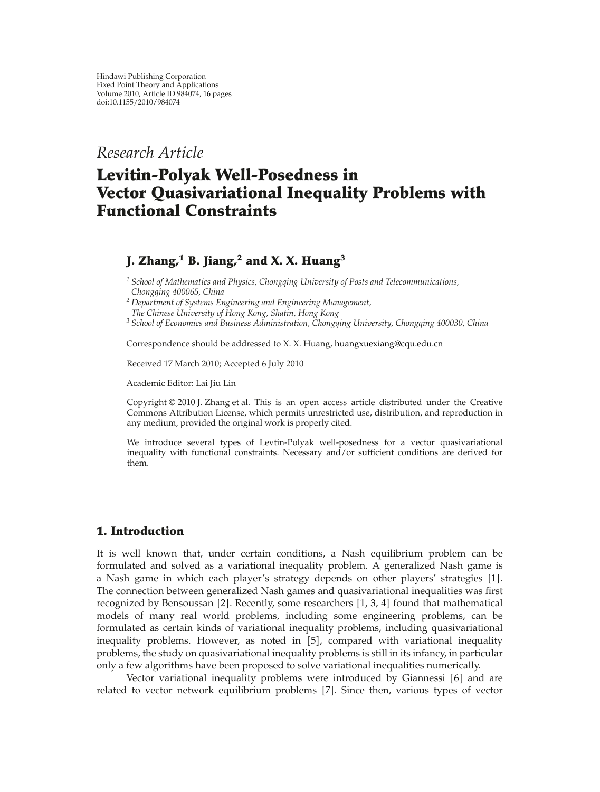*Research Article*

# **Levitin-Polyak Well-Posedness in Vector Quasivariational Inequality Problems with Functional Constraints**

# **J.** Zhang,<sup>1</sup> **B.** Jiang,<sup>2</sup> and X. X. Huang<sup>3</sup>

*<sup>1</sup> School of Mathematics and Physics, Chongqing University of Posts and Telecommunications, Chongqing 400065, China*

*<sup>2</sup> Department of Systems Engineering and Engineering Management,*

*The Chinese University of Hong Kong, Shatin, Hong Kong*

*<sup>3</sup> School of Economics and Business Administration, Chongqing University, Chongqing 400030, China*

Correspondence should be addressed to X. X. Huang, huangxuexiang@cqu.edu.cn

Received 17 March 2010; Accepted 6 July 2010

Academic Editor: Lai Jiu Lin

Copyright  $\odot$  2010 J. Zhang et al. This is an open access article distributed under the Creative Commons Attribution License, which permits unrestricted use, distribution, and reproduction in any medium, provided the original work is properly cited.

We introduce several types of Levtin-Polyak well-posedness for a vector quasivariational inequality with functional constraints. Necessary and/or sufficient conditions are derived for them.

## **1. Introduction**

It is well known that, under certain conditions, a Nash equilibrium problem can be formulated and solved as a variational inequality problem. A generalized Nash game is a Nash game in which each player's strategy depends on other players' strategies [1]. The connection between generalized Nash games and quasivariational inequalities was first recognized by Bensoussan  $[2]$ . Recently, some researchers  $[1, 3, 4]$  found that mathematical models of many real world problems, including some engineering problems, can be formulated as certain kinds of variational inequality problems, including quasivariational inequality problems. However, as noted in  $[5]$ , compared with variational inequality problems, the study on quasivariational inequality problems is still in its infancy, in particular only a few algorithms have been proposed to solve variational inequalities numerically.

Vector variational inequality problems were introduced by Giannessi  $[6]$  and are related to vector network equilibrium problems [7]. Since then, various types of vector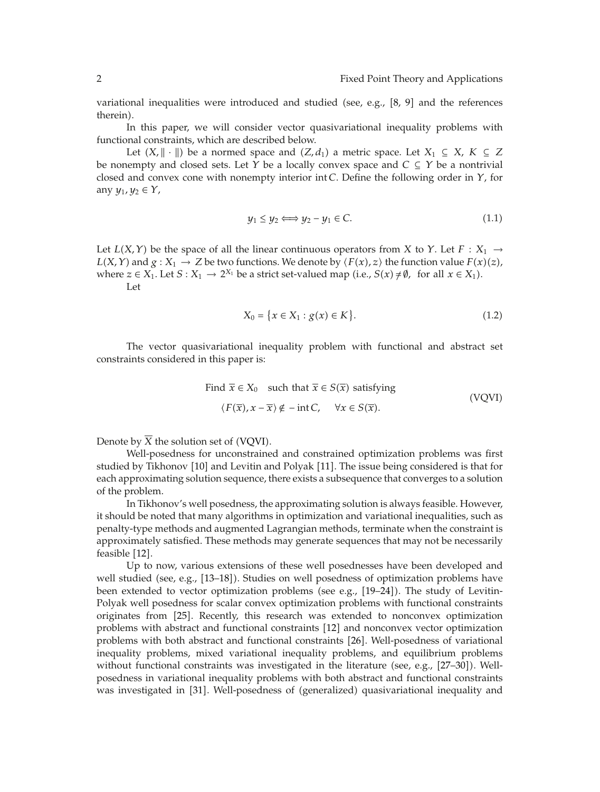variational inequalities were introduced and studied (see, e.g.,  $[8, 9]$  and the references therein).

In this paper, we will consider vector quasivariational inequality problems with functional constraints, which are described below.

Let  $(X, \|\cdot\|)$  be a normed space and  $(Z, d_1)$  a metric space. Let  $X_1 \subseteq X$ ,  $K \subseteq Z$ be nonempty and closed sets. Let *Y* be a locally convex space and  $C \subseteq Y$  be a nontrivial closed and convex cone with nonempty interior int *C*. Define the following order in *Y*, for any  $y_1, y_2 \in Y$ ,

$$
y_1 \le y_2 \Longleftrightarrow y_2 - y_1 \in C. \tag{1.1}
$$

Let  $L(X, Y)$  be the space of all the linear continuous operators from *X* to *Y*. Let  $F : X_1 \rightarrow$ *L*(*X*, *Y*) and *g* : *X*<sub>1</sub>  $\rightarrow$  *Z* be two functions. We denote by  $\langle F(x), z \rangle$  the function value  $F(x)(z)$ , where  $z \in X_1$ . Let  $S : X_1 \to 2^{X_1}$  be a strict set-valued map (i.e.,  $S(x) \neq \emptyset$ , for all  $x \in X_1$ ). Let

$$
X_0 = \{x \in X_1 : g(x) \in K\}.
$$
\n(1.2)

The vector quasivariational inequality problem with functional and abstract set constraints considered in this paper is:

Find 
$$
\overline{x} \in X_0
$$
 such that  $\overline{x} \in S(\overline{x})$  satisfying  
\n $\langle F(\overline{x}), x - \overline{x} \rangle \notin -\text{int } C, \forall x \in S(\overline{x}).$  (VQVI)

Denote by  $\overline{X}$  the solution set of (VQVI).

Well-posedness for unconstrained and constrained optimization problems was first studied by Tikhonov [10] and Levitin and Polyak [11]. The issue being considered is that for each approximating solution sequence, there exists a subsequence that converges to a solution of the problem.

In Tikhonov's well posedness, the approximating solution is always feasible. However, it should be noted that many algorithms in optimization and variational inequalities, such as penalty-type methods and augmented Lagrangian methods, terminate when the constraint is approximately satisfied. These methods may generate sequences that may not be necessarily feasible [12].

Up to now, various extensions of these well posednesses have been developed and well studied (see, e.g.,  $[13–18]$ ). Studies on well posedness of optimization problems have been extended to vector optimization problems (see e.g.,  $[19–24]$ ). The study of Levitin-Polyak well posedness for scalar convex optimization problems with functional constraints originates from [25]. Recently, this research was extended to nonconvex optimization problems with abstract and functional constraints 12 and nonconvex vector optimization problems with both abstract and functional constraints 26. Well-posedness of variational inequality problems, mixed variational inequality problems, and equilibrium problems without functional constraints was investigated in the literature (see, e.g.,  $[27-30]$ ). Wellposedness in variational inequality problems with both abstract and functional constraints was investigated in [31]. Well-posedness of (generalized) quasivariational inequality and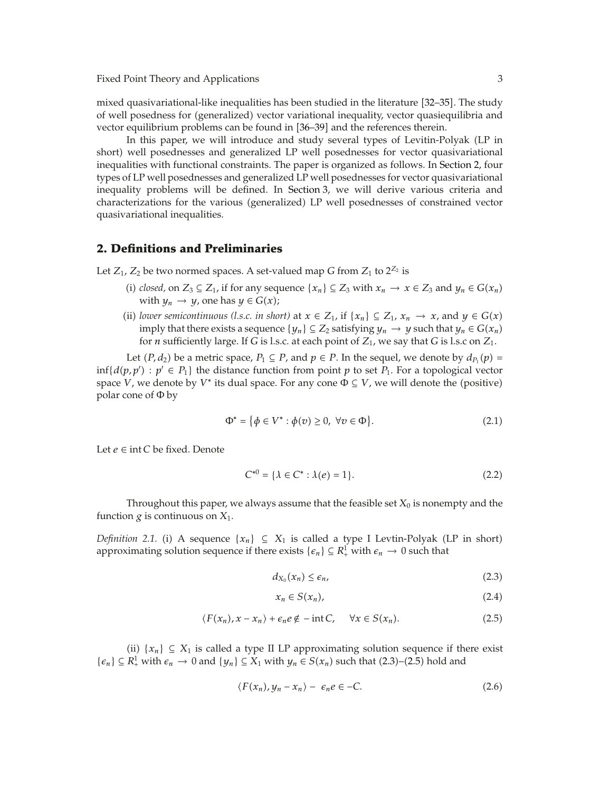mixed quasivariational-like inequalities has been studied in the literature [32–35]. The study of well posedness for (generalized) vector variational inequality, vector quasiequilibria and vector equilibrium problems can be found in 36–39 and the references therein.

In this paper, we will introduce and study several types of Levitin-Polyak LP in short) well posednesses and generalized LP well posednesses for vector quasivariational inequalities with functional constraints. The paper is organized as follows. In Section 2, four types of LP well posednesses and generalized LP well posednesses for vector quasivariational inequality problems will be defined. In Section 3, we will derive various criteria and characterizations for the various (generalized) LP well posednesses of constrained vector quasivariational inequalities.

#### **2. Definitions and Preliminaries**

Let  $Z_1$ ,  $Z_2$  be two normed spaces. A set-valued map *G* from  $Z_1$  to  $2^{Z_2}$  is

- (i) *closed*, on *Z*<sub>3</sub> ⊆ *Z*<sub>1</sub>, if for any sequence { $x_n$ } ⊆ *Z*<sub>3</sub> with  $x_n$  →  $x$  ∈ *Z*<sub>3</sub> and  $y_n$  ∈ *G*( $x_n$ ) with  $y_n \to y$ , one has  $y \in G(x)$ ;
- (ii) *lower semicontinuous (l.s.c. in short)* at *x* ∈  $Z_1$ , if {*x<sub>n</sub>*} ⊆  $Z_1$ , *x<sub>n</sub>* → *x*, and *y* ∈  $G(x)$ imply that there exists a sequence  $\{y_n\} \subseteq Z_2$  satisfying  $y_n \to y$  such that  $y_n \in G(x_n)$ for *n* sufficiently large. If *G* is l.s.c. at each point of  $Z_1$ , we say that *G* is l.s.c on  $Z_1$ .

Let  $(P, d_2)$  be a metric space,  $P_1 \subseteq P$ , and  $p \in P$ . In the sequel, we denote by  $d_{P_1}(p) =$  $\inf\{d(p,p') : p' \in P_1\}$  the distance function from point *p* to set *P*<sub>1</sub>. For a topological vector space *V*, we denote by *V*<sup>\*</sup> its dual space. For any cone  $\Phi \subseteq V$ , we will denote the (positive) polar cone of Φ by

$$
\Phi^* = \{ \phi \in V^* : \phi(v) \ge 0, \ \forall v \in \Phi \}. \tag{2.1}
$$

Let *e* ∈ int *C* be fixed. Denote

$$
C^{*0} = \{ \lambda \in C^* : \lambda(e) = 1 \}. \tag{2.2}
$$

Throughout this paper, we always assume that the feasible set  $X_0$  is nonempty and the function  $g$  is continuous on  $X_1$ .

*Definition 2.1.* (i) A sequence  $\{x_n\} \subseteq X_1$  is called a type I Levtin-Polyak (LP in short) approximating solution sequence if there exists  $\{\epsilon_n\} \subseteq R^1_+$  with  $\epsilon_n \to 0$  such that

$$
d_{X_0}(x_n) \le \epsilon_n,\tag{2.3}
$$

$$
x_n \in S(x_n), \tag{2.4}
$$

$$
\langle F(x_n), x - x_n \rangle + \epsilon_n e \notin -\text{int } C, \quad \forall x \in S(x_n). \tag{2.5}
$$

(ii)  ${x_n}$  ⊆ *X*<sub>1</sub> is called a type II LP approximating solution sequence if there exist  $\{\epsilon_n\} \subseteq R^1_+$  with  $\epsilon_n \to 0$  and  $\{y_n\} \subseteq X_1$  with  $y_n \in S(x_n)$  such that  $(2.3)$ – $(2.5)$  hold and

$$
\langle F(x_n), y_n - x_n \rangle - \epsilon_n e \in -C. \tag{2.6}
$$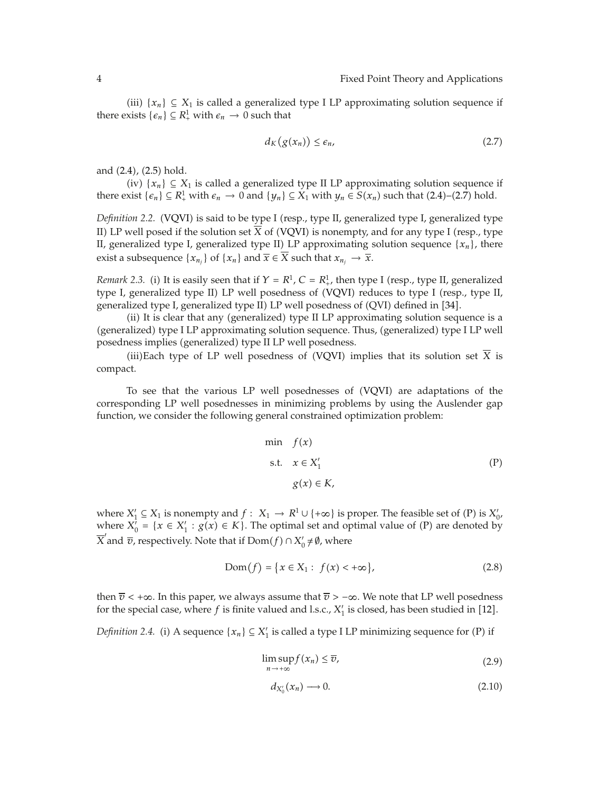(iii)  ${x_n}$  ⊆ *X*<sub>1</sub> is called a generalized type I LP approximating solution sequence if there exists  $\{\epsilon_n\} \subseteq R^1_+$  with  $\epsilon_n \to 0$  such that

$$
d_K(g(x_n)) \le \epsilon_n,\tag{2.7}
$$

and  $(2.4)$ ,  $(2.5)$  hold.

 $(iv)$  { $x_n$ } ⊆  $X_1$  is called a generalized type II LP approximating solution sequence if there exist  $\{ \epsilon_n \} \subseteq R_+^1$  with  $\epsilon_n \to 0$  and  $\{ y_n \} \subseteq X_1$  with  $y_n \in S(x_n)$  such that  $(2.4)$ – $(2.7)$  hold.

*Definition 2.2.* (VQVI) is said to be type I (resp., type II, generalized type I, generalized type II) LP well posed if the solution set  $\overline{X}$  of (VQVI) is nonempty, and for any type I (resp., type II, generalized type I, generalized type II) LP approximating solution sequence  $\{x_n\}$ , there exist a subsequence  $\{x_{n_j}\}\$  of  $\{x_n\}$  and  $\overline{x} \in \overline{X}$  such that  $x_{n_j} \to \overline{x}$ .

*Remark 2.3.* (i) It is easily seen that if  $Y = R^1$ ,  $C = R^1$ , then type I (resp., type II, generalized type I, generalized type II) LP well posedness of (VQVI) reduces to type I (resp., type II, generalized type I, generalized type II) LP well posedness of (QVI) defined in [34].

(ii) It is clear that any (generalized) type II LP approximating solution sequence is a (generalized) type I LP approximating solution sequence. Thus, (generalized) type I LP well posedness implies (generalized) type II LP well posedness.

(iii)Each type of LP well posedness of (VQVI) implies that its solution set  $\overline{X}$  is compact.

To see that the various LP well posednesses of (VQVI) are adaptations of the corresponding LP well posednesses in minimizing problems by using the Auslender gap function, we consider the following general constrained optimization problem:

min 
$$
f(x)
$$
  
s.t.  $x \in X'_1$  (P)  
 $g(x) \in K$ ,

where  $X'_1 \subseteq X_1$  is nonempty and  $f: X_1 \to R^1 \cup \{+\infty\}$  is proper. The feasible set of  $(P)$  is  $X'_0$ , where  $X'_0 = \{x \in X'_1 : g(x) \in K\}$ . The optimal set and optimal value of (P) are denoted by  $\overline{X}'$  and  $\overline{v}$ , respectively. Note that if  $\text{Dom}(f) \cap X'_0 \neq \emptyset$ , where

$$
Dom(f) = \{x \in X_1 : f(x) < +\infty\},\tag{2.8}
$$

then  $\overline{v}$  < + $\infty$ . In this paper, we always assume that  $\overline{v}$  > - $\infty$ . We note that LP well posedness for the special case, where  $f$  is finite valued and l.s.c.,  $X'_1$  is closed, has been studied in [12].

*Definition 2.4.* (i) A sequence  $\{x_n\} \subseteq X'_1$  is called a type I LP minimizing sequence for (P) if

$$
\limsup_{n \to +\infty} f(x_n) \le \overline{v},\tag{2.9}
$$

$$
d_{X'_0}(x_n) \longrightarrow 0. \tag{2.10}
$$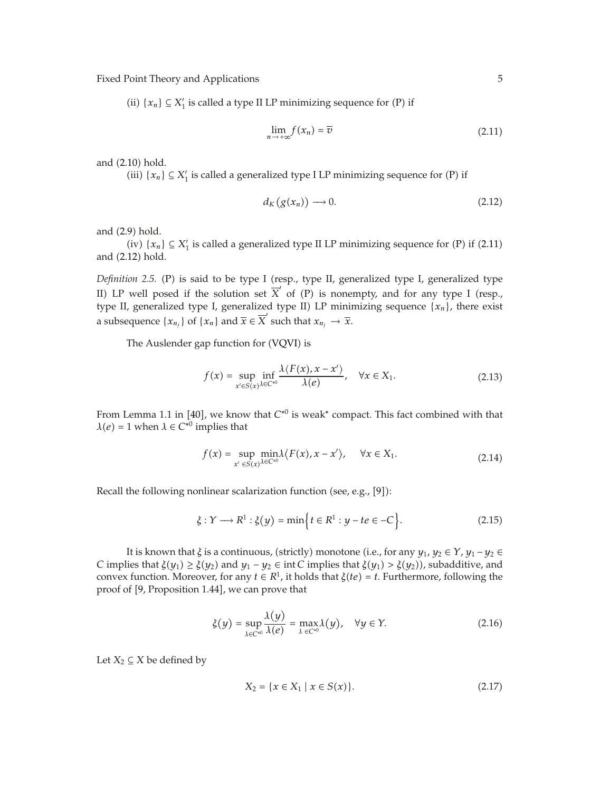(ii)  $\{x_n\} \subseteq X'_1$  is called a type II LP minimizing sequence for (P) if

$$
\lim_{n \to +\infty} f(x_n) = \overline{v} \tag{2.11}
$$

and  $(2.10)$  hold.

(iii)  $\{x_n\} \subseteq X'_1$  is called a generalized type I LP minimizing sequence for (P) if

$$
d_K(g(x_n)) \longrightarrow 0. \tag{2.12}
$$

and  $(2.9)$  hold.

(iv)  $\{x_n\} \subseteq X'_1$  is called a generalized type II LP minimizing sequence for (P) if (2.11) and  $(2.12)$  hold.

*Definition 2.5.* (P) is said to be type I (resp., type II, generalized type I, generalized type II) LP well posed if the solution set  $\overline{X}'$  of (P) is nonempty, and for any type I (resp., type II, generalized type I, generalized type II) LP minimizing sequence  $\{x_n\}$ , there exist a subsequence  $\{x_{n_j}\}\$  of  $\{x_n\}$  and  $\overline{x} \in \overline{X}'$  such that  $x_{n_j} \to \overline{x}$ .

The Auslender gap function for (VQVI) is

$$
f(x) = \sup_{x' \in S(x)} \inf_{\lambda \in C^{*0}} \frac{\lambda \langle F(x), x - x' \rangle}{\lambda(e)}, \quad \forall x \in X_1.
$$
 (2.13)

From Lemma 1.1 in [40], we know that  $C^{*0}$  is weak<sup>\*</sup> compact. This fact combined with that  $\lambda$ *(e)* = 1 when  $\lambda$   $\in$  *C*<sup>∗0</sup> implies that

$$
f(x) = \sup_{x' \in S(x)} \min_{\lambda \in C^{*0}} \lambda \langle F(x), x - x' \rangle, \quad \forall x \in X_1.
$$
 (2.14)

Recall the following nonlinear scalarization function (see, e.g.,  $[9]$ ):

$$
\xi: Y \longrightarrow R^1: \xi(y) = \min\Big\{ t \in R^1: y - te \in -C \Big\}.
$$
 (2.15)

It is known that  $\xi$  is a continuous, (strictly) monotone (i.e., for any  $y_1, y_2 \in Y$ ,  $y_1 - y_2 \in Y$ *C* implies that  $\xi(y_1) \geq \xi(y_2)$  and  $y_1 - y_2 \in \text{int } C$  implies that  $\xi(y_1) > \xi(y_2)$ , subadditive, and convex function. Moreover, for any  $t \in R^1$ , it holds that  $\xi(te) = t$ . Furthermore, following the proof of [9, Proposition 1.44], we can prove that

$$
\xi(y) = \sup_{\lambda \in C^{*0}} \frac{\lambda(y)}{\lambda(e)} = \max_{\lambda \in C^{*0}} \lambda(y), \quad \forall y \in Y.
$$
 (2.16)

Let  $X_2 \subseteq X$  be defined by

$$
X_2 = \{x \in X_1 \mid x \in S(x)\}.
$$
\n(2.17)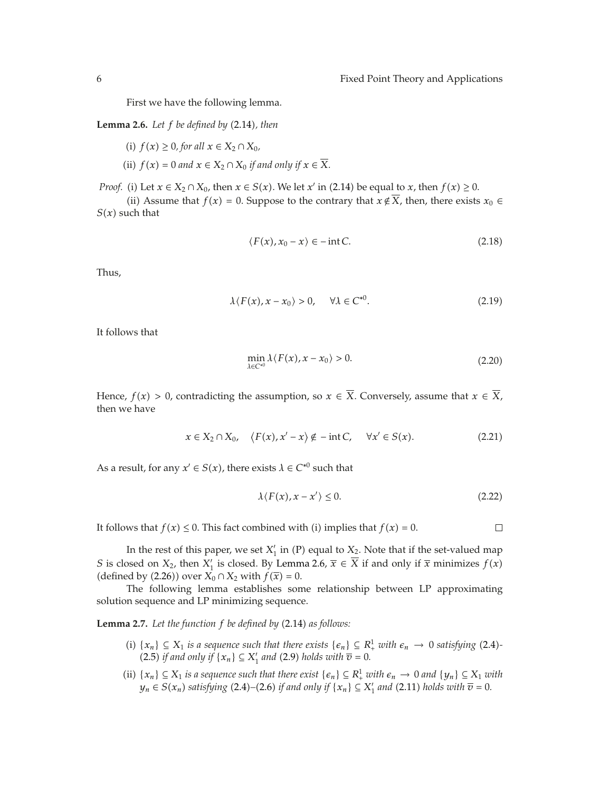First we have the following lemma.

**Lemma 2.6.** Let  $f$  be defined by  $(2.14)$ , then

- *(i)*  $f(x) \ge 0$ *, for all*  $x \in X_2 \cap X_0$ *,*
- (ii)  $f(x) = 0$  and  $x \in X_2 \cap X_0$  *if and only if*  $x \in \overline{X}$ *.*

*Proof.* (i) Let  $x \in X_2 \cap X_0$ , then  $x \in S(x)$ . We let  $x'$  in (2.14) be equal to  $x$ , then  $f(x) \ge 0$ .

(ii) Assume that *f*(*x*) = 0. Suppose to the contrary that *x* ∉  $\overline{X}$ , then, there exists *x*<sup>0</sup> ∈  $S(x)$  such that

$$
\langle F(x), x_0 - x \rangle \in -\text{int } C. \tag{2.18}
$$

Thus,

$$
\lambda \langle F(x), x - x_0 \rangle > 0, \quad \forall \lambda \in C^{*0}.
$$
 (2.19)

It follows that

$$
\min_{\lambda \in C^{*0}} \lambda \langle F(x), x - x_0 \rangle > 0. \tag{2.20}
$$

Hence,  $f(x) > 0$ , contradicting the assumption, so  $x \in \overline{X}$ . Conversely, assume that  $x \in \overline{X}$ , then we have

$$
x \in X_2 \cap X_0, \quad \langle F(x), x' - x \rangle \notin -\text{int } C, \quad \forall x' \in S(x). \tag{2.21}
$$

As a result, for any  $x' \in S(x)$ , there exists  $\lambda \in C^{*0}$  such that

$$
\lambda \langle F(x), x - x' \rangle \le 0. \tag{2.22}
$$

 $\Box$ 

It follows that  $f(x) \leq 0$ . This fact combined with *(i)* implies that  $f(x) = 0$ .

In the rest of this paper, we set  $X'_1$  in (P) equal to  $X_2$ . Note that if the set-valued map *S* is closed on *X*<sub>2</sub>, then *X*<sup> $\prime$ </sup> is closed. By Lemma 2.6,  $\bar{x} \in X$  if and only if  $\bar{x}$  minimizes  $f(x)$ (defined by (2.26)) over  $X_0 \cap X_2$  with  $f(\overline{x}) = 0$ .

The following lemma establishes some relationship between LP approximating solution sequence and LP minimizing sequence.

**Lemma 2.7.** Let the function f be defined by (2.14) as follows:

- (i)  ${x_n}$  ⊆ *X*<sub>1</sub> *is a sequence such that there exists*  ${ε_n}$  ⊆  $R_+^1$  *with*  $ε_n$  → 0 *satisfying* (2.4)*-* $(2.5)$  *if and only if*  $\{x_n\} \subseteq X'_1$  *and*  $(2.9)$  *holds with*  $\overline{v} = 0$ *.*
- (ii)  ${x_n}$  ⊆ *X*<sub>1</sub> *is a sequence such that there exist*  ${ε_n}$  ⊆  $R_+^1$  *with*  $ε_n$  → 0 *and*  ${y_n}$  ⊆ *X*<sub>1</sub> *with y*<sub>n</sub> ∈ *S*(*x<sub>n</sub>*) *satisfying* (2.4)–(2.6) *if and only if* {*x<sub>n</sub>*} ⊆ *X*<sup> $\prime$ </sup><sub>1</sub> *and* (2.11) *holds with*  $\overline{v}$  = 0.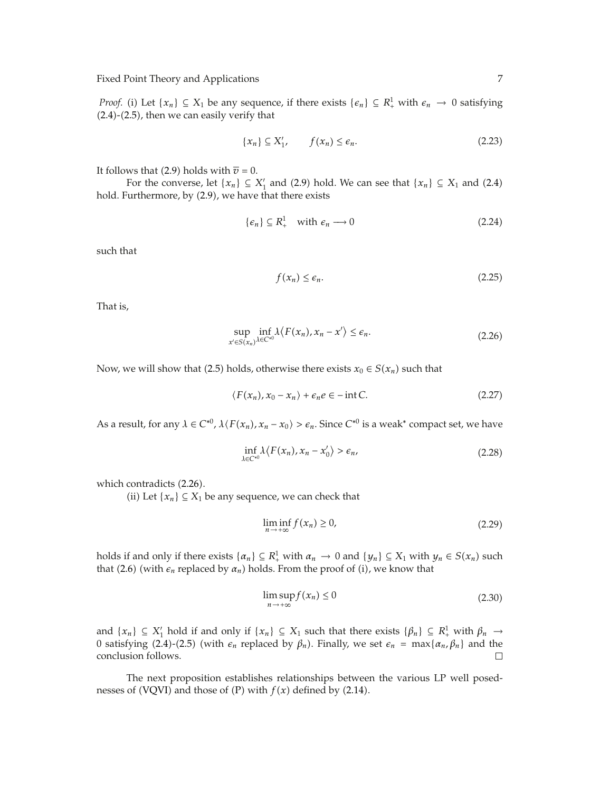*Proof.* (i) Let  $\{x_n\} \subseteq X_1$  be any sequence, if there exists  $\{\epsilon_n\} \subseteq R^1$  with  $\epsilon_n \to 0$  satisfying  $(2.4)-(2.5)$ , then we can easily verify that

$$
\{x_n\} \subseteq X'_1, \qquad f(x_n) \le \epsilon_n. \tag{2.23}
$$

It follows that (2.9) holds with  $\overline{v} = 0$ .

For the converse, let  $\{x_n\} \subseteq X'_1$  and  $(2.9)$  hold. We can see that  $\{x_n\} \subseteq X_1$  and  $(2.4)$ hold. Furthermore, by (2.9), we have that there exists

$$
\{\epsilon_n\} \subseteq R_+^1 \quad \text{with } \epsilon_n \longrightarrow 0 \tag{2.24}
$$

such that

$$
f(x_n) \le \epsilon_n. \tag{2.25}
$$

That is,

$$
\sup_{x' \in S(x_n)} \inf_{\lambda \in C^{*0}} \lambda \langle F(x_n), x_n - x' \rangle \le \epsilon_n.
$$
\n(2.26)

Now, we will show that (2.5) holds, otherwise there exists  $x_0 \in S(x_n)$  such that

$$
\langle F(x_n), x_0 - x_n \rangle + \epsilon_n e \in -\text{int } C. \tag{2.27}
$$

As a result, for any  $\lambda \in C^{*0}$ ,  $\lambda \langle F(x_n), x_n - x_0 \rangle > \epsilon_n$ . Since  $C^{*0}$  is a weak\* compact set, we have

$$
\inf_{\lambda \in C^{*0}} \lambda \langle F(x_n), x_n - x'_0 \rangle > \epsilon_n,
$$
\n(2.28)

which contradicts  $(2.26)$ .

(ii) Let  ${x_n}$  ⊆  $X_1$  be any sequence, we can check that

$$
\liminf_{n \to +\infty} f(x_n) \ge 0,\tag{2.29}
$$

holds if and only if there exists  $\{\alpha_n\} \subseteq R^1_+$  with  $\alpha_n \to 0$  and  $\{y_n\} \subseteq X_1$  with  $y_n \in S(x_n)$  such that (2.6) (with  $\epsilon_n$  replaced by  $\alpha_n$ ) holds. From the proof of (i), we know that

$$
\limsup_{n \to +\infty} f(x_n) \le 0 \tag{2.30}
$$

and  $\{x_n\} \subseteq X'_1$  hold if and only if  $\{x_n\} \subseteq X_1$  such that there exists  $\{\beta_n\} \subseteq R^1_+$  with  $\beta_n \to$ 0 satisfying (2.4)-(2.5) (with *e<sub>n</sub>* replaced by *β<sub>n</sub>*). Finally, we set *e<sub>n</sub>* = max{*α<sub>n</sub>*, *β<sub>n</sub>*} and the conclusion follows. conclusion follows.

The next proposition establishes relationships between the various LP well posednesses of (VQVI) and those of  $(P)$  with  $f(x)$  defined by  $(2.14)$ .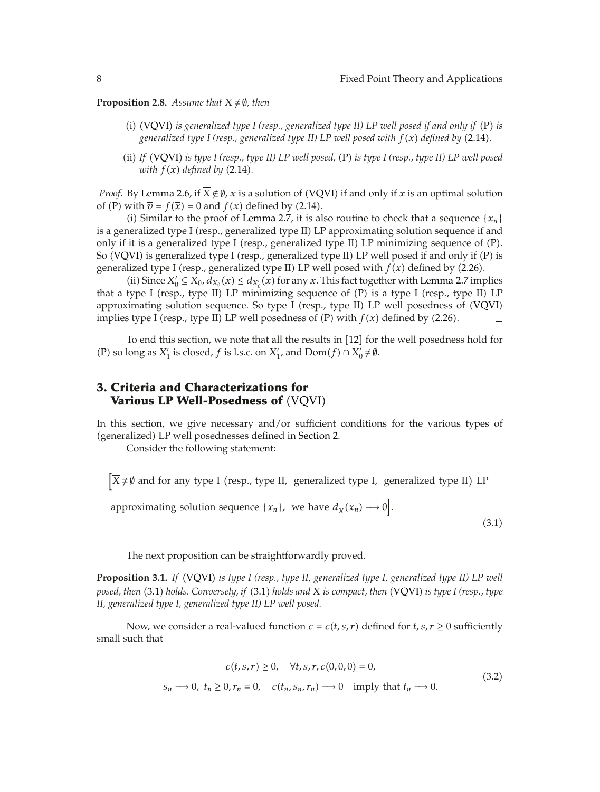**Proposition 2.8.** *Assume that*  $\overline{X} \neq \emptyset$ *, then* 

- (i) (VQVI) is generalized type I (resp., generalized type II) LP well posed if and only if (P) is *generalized type I (resp., generalized type II) LP well posed with*  $f(x)$  *defined by (2.14).*
- ii *If* VQVI *is type I (resp., type II) LP well posed,* P *is type I (resp., type II) LP well posed with*  $f(x)$  *defined by* (2.14).

*Proof.* By Lemma 2.6, if  $\overline{X} \notin \emptyset$ ,  $\overline{x}$  is a solution of (VQVI) if and only if  $\overline{x}$  is an optimal solution of (P) with  $\overline{v} = f(\overline{x}) = 0$  and  $f(x)$  defined by (2.14).

(i) Similar to the proof of Lemma 2.7, it is also routine to check that a sequence  ${x_n}$ is a generalized type I (resp., generalized type II) LP approximating solution sequence if and only if it is a generalized type I (resp., generalized type II) LP minimizing sequence of  $(P)$ . So (VQVI) is generalized type I (resp., generalized type II) LP well posed if and only if  $(P)$  is generalized type I (resp., generalized type II) LP well posed with  $f(x)$  defined by (2.26).

(ii) Since  $X'_0 \subseteq X_0$ ,  $d_{X_0}(x) \le d_{X'_0}(x)$  for any *x*. This fact together with Lemma 2.7 implies that a type I (resp., type II) LP minimizing sequence of  $(P)$  is a type I (resp., type II) LP approximating solution sequence. So type I (resp., type II) LP well posedness of (VQVI) implies type I (resp., type II) LP well posedness of  $(P)$  with  $f(x)$  defined by  $(2.26)$ .  $\Box$ 

To end this section, we note that all the results in [12] for the well posedness hold for (P) so long as  $X'_1$  is closed, *f* is l.s.c. on  $X'_1$ , and  $Dom(f) \cap X'_0 \neq \emptyset$ .

### **3. Criteria and Characterizations for Various LP Well-Posedness of** (VQVI)

In this section, we give necessary and/or sufficient conditions for the various types of (generalized) LP well posednesses defined in Section 2.

Consider the following statement:

 $\left[ \overline{X} \neq \emptyset \right]$  and for any type I (resp., type II, generalized type I, generalized type II) LP

approximating solution sequence  $\{x_n\}$ , we have  $d_{\overline{X}}(x_n) \longrightarrow 0$ .

 $(3.1)$ 

The next proposition can be straightforwardly proved.

**Proposition 3.1.** *If* VQVI *is type I (resp., type II, generalized type I, generalized type II) LP well posed, then* (3.1) *holds. Conversely, if* (3.1) *holds and*  $\overline{X}$  *is compact, then* (VQVI) *is type I (resp., type II, generalized type I, generalized type II) LP well posed.*

Now, we consider a real-valued function  $c = c(t, s, r)$  defined for  $t, s, r \ge 0$  sufficiently small such that

$$
c(t, s, r) \ge 0, \quad \forall t, s, r, c(0, 0, 0) = 0,
$$
  

$$
s_n \longrightarrow 0, \quad t_n \ge 0, r_n = 0, \quad c(t_n, s_n, r_n) \longrightarrow 0 \quad \text{imply that } t_n \longrightarrow 0.
$$
 (3.2)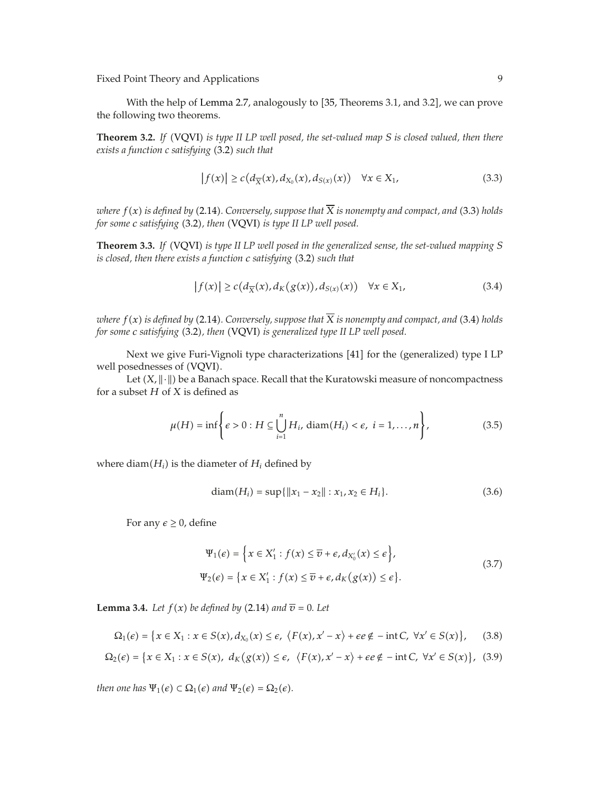With the help of Lemma 2.7, analogously to [35, Theorems 3.1, and 3.2], we can prove the following two theorems.

**Theorem 3.2.** *If* VQVI *is type II LP well posed, the set-valued map S is closed valued, then there exists a function c satisfying* (3.2) *such that* 

$$
\left|f(x)\right| \ge c\left(d_{\overline{X}}(x), d_{X_0}(x), d_{S(x)}(x)\right) \quad \forall x \in X_1,\tag{3.3}
$$

*where*  $f(x)$  *is defined by* (2.14). Conversely, suppose that  $\overline{X}$  *is nonempty and compact, and* (3.3) *holds for some c satisfying* (3.2), then (VQVI) *is type II LP well posed.* 

**Theorem 3.3.** *If* VQVI *is type II LP well posed in the generalized sense, the set-valued mapping S is closed, then there exists a function c satisfying* (3.2) *such that* 

$$
|f(x)| \ge c\big(d_{\overline{X}}(x), d_K\big(g(x)\big), d_{S(x)}(x)\big) \quad \forall x \in X_1,\tag{3.4}
$$

*where*  $f(x)$  *is defined by* (2.14). Conversely, suppose that  $\overline{X}$  *is nonempty and compact, and* (3.4) *holds for some c satisfying* (3.2), then (VQVI) *is generalized type II LP well posed.* 

Next we give Furi-Vignoli type characterizations [41] for the (generalized) type I LP well posednesses of VQVI.

Let  $(X, \|\cdot\|)$  be a Banach space. Recall that the Kuratowski measure of noncompactness for a subset *H* of *X* is defined as

$$
\mu(H) = \inf \left\{ \epsilon > 0 : H \subseteq \bigcup_{i=1}^{n} H_i, \, \text{diam}(H_i) < \epsilon, \, i = 1, \dots, n \right\},\tag{3.5}
$$

where  $diam(H_i)$  is the diameter of  $H_i$  defined by

$$
diam(H_i) = sup\{\|x_1 - x_2\| : x_1, x_2 \in H_i\}.
$$
\n(3.6)

For any  $\epsilon \geq 0$ , define

$$
\Psi_1(\epsilon) = \left\{ x \in X'_1 : f(x) \le \overline{v} + \epsilon, d_{X'_0}(x) \le \epsilon \right\},\
$$
  

$$
\Psi_2(\epsilon) = \left\{ x \in X'_1 : f(x) \le \overline{v} + \epsilon, d_K(g(x)) \le \epsilon \right\}.
$$
  
(3.7)

**Lemma 3.4.** *Let*  $f(x)$  *be defined by* (2.14) *and*  $\overline{v} = 0$ *. Let* 

$$
\Omega_1(\epsilon) = \{x \in X_1 : x \in S(x), d_{X_0}(x) \le \epsilon, \ \langle F(x), x' - x \rangle + \epsilon e \notin -\text{int } C, \ \forall x' \in S(x)\},\tag{3.8}
$$

$$
\Omega_2(\epsilon) = \{x \in X_1 : x \in S(x), \ d_K(g(x)) \le \epsilon, \ \ \langle F(x), x' - x \rangle + \epsilon e \notin -\text{int } C, \ \forall x' \in S(x)\}, \ \ (3.9)
$$

*then one has*  $\Psi_1(\epsilon) \subset \Omega_1(\epsilon)$  *and*  $\Psi_2(\epsilon) = \Omega_2(\epsilon)$ *.*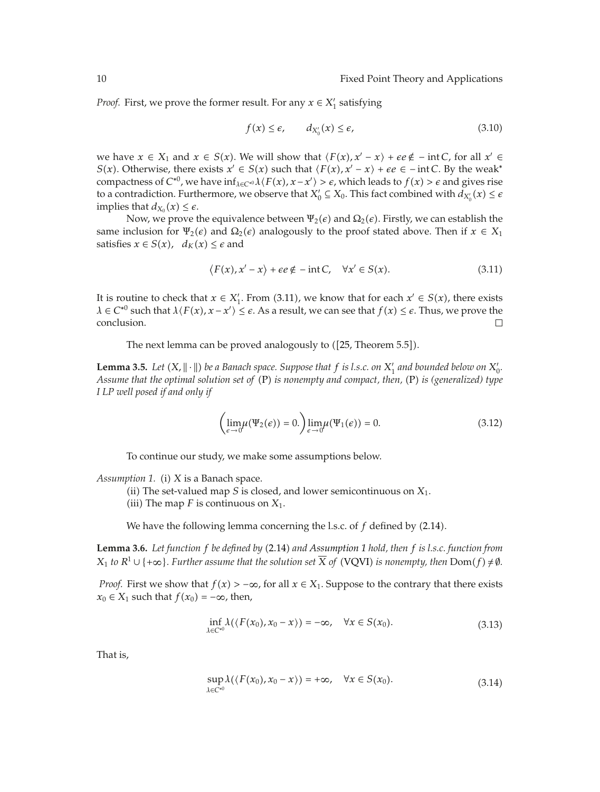*Proof.* First, we prove the former result. For any  $x \in X'_1$  satisfying

$$
f(x) \le \epsilon, \qquad d_{X'_0}(x) \le \epsilon,\tag{3.10}
$$

we have  $x \in X_1$  and  $x \in S(x)$ . We will show that  $\langle F(x), x' - x \rangle + \epsilon e \notin - \text{int } C$ , for all  $x' \in$ *S*(*x*). Otherwise, there exists  $x' \in S(x)$  such that  $\langle F(x), x' - x \rangle + \epsilon e \in -\text{int } C$ . By the weak<sup>\*</sup> compactness of  $C^{*0}$ , we have  $\inf_{\lambda \in C^{*0}} \lambda \langle F(x), x - x' \rangle > \epsilon$ , which leads to  $f(x) > \epsilon$  and gives rise to a contradiction. Furthermore, we observe that  $X'_0 \subseteq X_0.$  This fact combined with  $d_{X'_0}(x) \leq \epsilon$ implies that  $d_{X_0}(x) \leq \epsilon$ .

Now, we prove the equivalence between  $\Psi_2(\epsilon)$  and  $\Omega_2(\epsilon)$ . Firstly, we can establish the same inclusion for  $\Psi_2(\epsilon)$  and  $\Omega_2(\epsilon)$  analogously to the proof stated above. Then if  $x \in X_1$ satisfies  $x \in S(x)$ ,  $d_K(x) \leq \epsilon$  and

$$
\langle F(x), x' - x \rangle + \epsilon e \notin -\text{int } C, \quad \forall x' \in S(x). \tag{3.11}
$$

It is routine to check that  $x \in X'_1$ . From (3.11), we know that for each  $x' \in S(x)$ , there exists  $\lambda \in C^{*0}$  such that  $\lambda \langle F(x), x - x' \rangle \leq \epsilon$ . As a result, we can see that  $f(x) \leq \epsilon$ . Thus, we prove the conclusion.

The next lemma can be proved analogously to ([25, Theorem 5.5]).

**Lemma 3.5.** Let  $(X, \|\cdot\|)$  be a Banach space. Suppose that  $f$  is l.s.c. on  $X'_1$  and bounded below on  $X'_0$ . *Assume that the optimal solution set of* (P) *is nonempty and compact, then,* (P) *is (generalized) type I LP well posed if and only if*

$$
\left(\lim_{\epsilon \to 0} \mu(\Psi_2(\epsilon)) = 0.\right) \lim_{\epsilon \to 0} \mu(\Psi_1(\epsilon)) = 0.
$$
\n(3.12)

To continue our study, we make some assumptions below.

*Assumption 1.* (i) *X* is a Banach space.

- (ii) The set-valued map *S* is closed, and lower semicontinuous on  $X_1$ .
- (iii) The map  $F$  is continuous on  $X_1$ .

We have the following lemma concerning the l.s.c. of  $f$  defined by  $(2.14)$ .

**Lemma 3.6.** *Let function f be defined by* 2.14 *and Assumption 1 hold, then f is l.s.c. function from X*<sub>1</sub> *to*  $R$ <sup>1</sup> ∪ { +∞}*. Further assume that the solution set X of* (VQVI) *is nonempty, then* Dom(*f*) ≠  $\emptyset$ *.* 

*Proof.* First we show that  $f(x) > -\infty$ , for all  $x \in X_1$ . Suppose to the contrary that there exists *x*<sup>0</sup> ∈ *X*<sup>1</sup> such that *f*(*x*<sup>0</sup>) = −∞, then,

$$
\inf_{\lambda \in C^{*0}} \lambda(\langle F(x_0), x_0 - x \rangle) = -\infty, \quad \forall x \in S(x_0). \tag{3.13}
$$

That is,

$$
\sup_{\lambda \in C^{*0}} \lambda(\langle F(x_0), x_0 - x \rangle) = +\infty, \quad \forall x \in S(x_0).
$$
\n(3.14)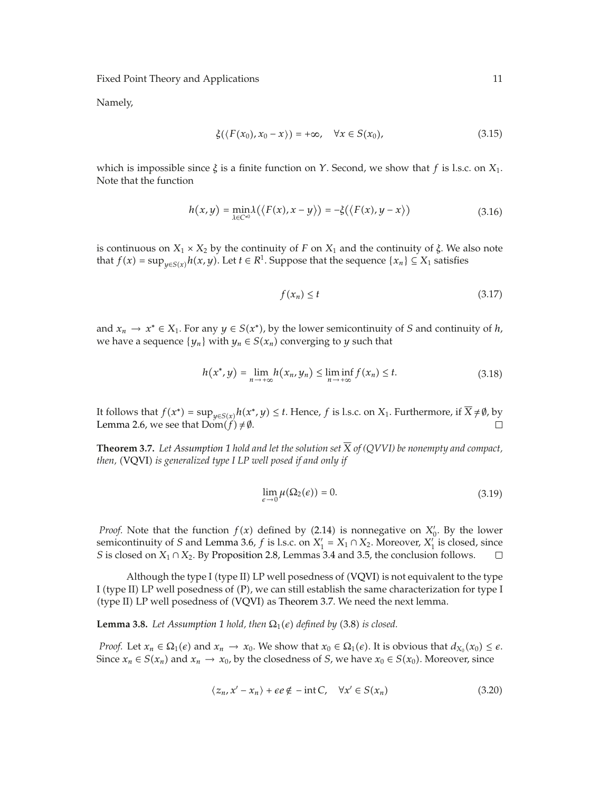Namely,

$$
\xi(\langle F(x_0), x_0 - x \rangle) = +\infty, \quad \forall x \in S(x_0), \tag{3.15}
$$

which is impossible since *ξ* is a finite function on *Y*. Second, we show that *f* is l.s.c. on *X*1. Note that the function

$$
h(x,y) = \min_{\lambda \in C^{*0}} \lambda(\langle F(x), x - y \rangle) = -\xi(\langle F(x), y - x \rangle)
$$
\n(3.16)

is continuous on  $X_1 \times X_2$  by the continuity of *F* on  $X_1$  and the continuity of *ξ*. We also note that *f*(*x*) = sup<sub>*v*∈*S*(*x*)</sub>*h*(*x*, *y*). Let *t* ∈ *R*<sup>1</sup>. Suppose that the sequence {*x<sub>n</sub>*} ⊆ *X*<sub>1</sub> satisfies

$$
f(x_n) \le t \tag{3.17}
$$

and  $x_n \to x^* \in X_1$ . For any  $y \in S(x^*)$ , by the lower semicontinuity of *S* and continuity of *h*, we have a sequence  $\{y_n\}$  with  $y_n \in S(x_n)$  converging to *y* such that

$$
h(x^*, y) = \lim_{n \to +\infty} h(x_n, y_n) \le \liminf_{n \to +\infty} f(x_n) \le t.
$$
 (3.18)

It follows that *f(x*<sup>∗</sup>*)* = sup<sub>*y*∈*S(x*<sup>*)*</sup>*h*(*x*<sup>\*</sup>*, y*) ≤ *t*. Hence, *f* is l.s.c. on *X*<sub>1</sub>. Furthermore, if  $\overline{X} \neq \emptyset$ , by Lemma 2.6, we see that Dom(*f*) ≠  $\emptyset$ .</sub> Lemma 2.6, we see that  $Dom(f) \neq \emptyset$ .

**Theorem 3.7.** Let Assumption 1 hold and let the solution set  $\overline{X}$  of (QVVI) be nonempty and compact, *then,* (VQVI) *is generalized type I LP well posed if and only if* 

$$
\lim_{\epsilon \to 0} \mu(\Omega_2(\epsilon)) = 0. \tag{3.19}
$$

*Proof.* Note that the function  $f(x)$  defined by (2.14) is nonnegative on  $X'_{0}$ . By the lower semicontinuity of *S* and Lemma 3.6, *f* is l.s.c. on  $X'_1 = X_1 \cap X_2$ . Moreover,  $X'_1$  is closed, since *S* is closed on *X*<sub>1</sub> ∩ *X*<sub>2</sub>. By Proposition 2.8, Lemmas 3.4 and 3.5, the conclusion follows.

Although the type I (type II) LP well posedness of (VQVI) is not equivalent to the type I (type II) LP well posedness of  $(P)$ , we can still establish the same characterization for type I (type II) LP well posedness of (VQVI) as Theorem 3.7. We need the next lemma.

**Lemma 3.8.** *Let Assumption 1 hold, then*  $\Omega_1(\epsilon)$  *defined by* (3.8) *is closed.* 

*Proof.* Let  $x_n \in \Omega_1(\epsilon)$  and  $x_n \to x_0$ . We show that  $x_0 \in \Omega_1(\epsilon)$ . It is obvious that  $d_{X_0}(x_0) \leq \epsilon$ . Since  $x_n \in S(x_n)$  and  $x_n \to x_0$ , by the closedness of *S*, we have  $x_0 \in S(x_0)$ . Moreover, since

$$
\langle z_n, x' - x_n \rangle + \epsilon e \notin -\text{int } C, \quad \forall x' \in S(x_n)
$$
 (3.20)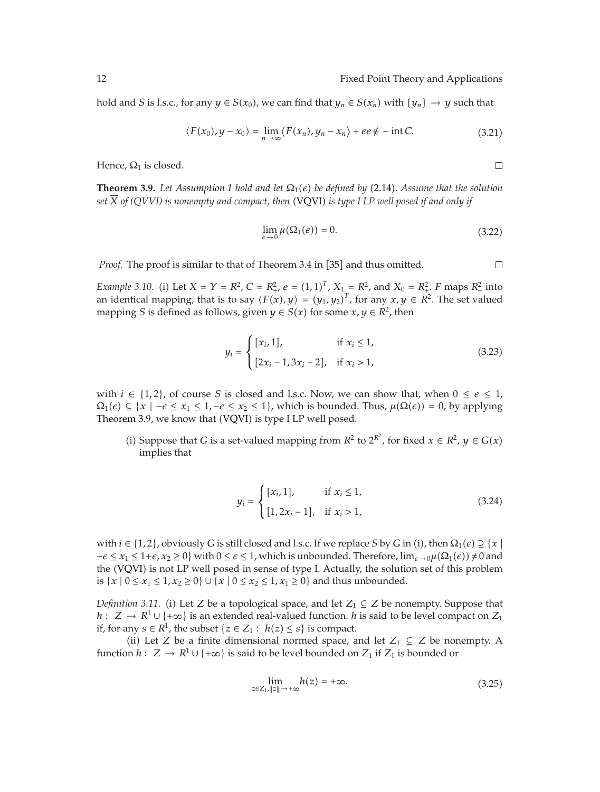hold and *S* is l.s.c., for any  $y \in S(x_0)$ , we can find that  $y_n \in S(x_n)$  with  $\{y_n\} \to y$  such that

$$
\langle F(x_0), y - x_0 \rangle = \lim_{n \to \infty} \langle F(x_n), y_n - x_n \rangle + \epsilon e \notin -\text{int } C. \tag{3.21}
$$

Hence,  $\Omega_1$  is closed.

**Theorem 3.9.** Let *Assumption 1 hold and let*  $\Omega_1(\epsilon)$  *be defined by* (2.14). Assume that the solution *set*  $\overline{X}$  *of* (QVVI) *is nonempty and compact, then* (VQVI) *is type I LP well posed if and only if* 

$$
\lim_{\epsilon \to 0} \mu(\Omega_1(\epsilon)) = 0. \tag{3.22}
$$

*Proof.* The proof is similar to that of Theorem 3.4 in [35] and thus omitted.

*Example 3.10.* (i) Let  $X = Y = R^2$ ,  $C = R^2$ ,  $e = (1, 1)^T$ ,  $X_{1} = R^2$ , and  $X_0 = R^2$ . *F* maps  $R^2$  into an identical mapping, that is to say  $\langle F(x), y \rangle = (y_1, y_2)^T$ , for any  $x, y \in R^2$ . The set valued mapping *S* is defined as follows, given  $y \in S(x)$  for some  $x, y \in R^2$ , then

$$
y_i = \begin{cases} [x_i, 1], & \text{if } x_i \le 1, \\ [2x_i - 1, 3x_i - 2], & \text{if } x_i > 1, \end{cases}
$$
(3.23)

with  $i \in \{1,2\}$ , of course *S* is closed and l.s.c. Now, we can show that, when  $0 \le \epsilon \le 1$ ,  $\Omega_1(\epsilon) \subseteq \{x \mid -\epsilon \leq x_1 \leq 1, -\epsilon \leq x_2 \leq 1\}$ , which is bounded. Thus,  $\mu(\Omega(\epsilon)) = 0$ , by applying Theorem 3.9, we know that (VQVI) is type I LP well posed.

(i) Suppose that *G* is a set-valued mapping from  $R^2$  to  $2^{R^2}$ , for fixed *x* ∈  $R^2$ , *y* ∈ *G*(*x*) implies that

$$
y_i = \begin{cases} [x_i, 1], & \text{if } x_i \le 1, \\ [1, 2x_i - 1], & \text{if } x_i > 1, \end{cases}
$$
(3.24)

with  $i \in \{1, 2\}$ , obviously *G* is still closed and l.s.c. If we replace *S* by *G* in (i), then  $\Omega_1(\epsilon) \supseteq \{x \mid x\}$  $-\epsilon \leq x_1 \leq 1+\epsilon, x_2 \geq 0$  with  $0 \leq \epsilon \leq 1$ , which is unbounded. Therefore,  $\lim_{\epsilon \to 0} \mu(\Omega_1(\epsilon)) \neq 0$  and the (VQVI) is not LP well posed in sense of type I. Actually, the solution set of this problem is  $\{x \mid 0 \le x_1 \le 1, x_2 \ge 0\}$  ∪  $\{x \mid 0 \le x_2 \le 1, x_1 \ge 0\}$  and thus unbounded.

*Definition 3.11.* (i) Let *Z* be a topological space, and let  $Z_1 \subseteq Z$  be nonempty. Suppose that *h* : *Z* → *R*<sup>1</sup> ∪ {+∞} is an extended real-valued function. *h* is said to be level compact on *Z*<sub>1</sub> if, for any *s* ∈  $R$ <sup>1</sup>, the subset {*z* ∈ *Z*<sub>1</sub> : *h*(*z*) ≤ *s*} is compact.

(ii) Let *Z* be a finite dimensional normed space, and let  $Z_1$  ⊆ *Z* be nonempty. A function *h* :  $Z \to R^1 \cup \{+\infty\}$  is said to be level bounded on  $Z_1$  if  $Z_1$  is bounded or

$$
\lim_{z \in Z_1, ||z|| \to +\infty} h(z) = +\infty. \tag{3.25}
$$

 $\Box$ 

 $\Box$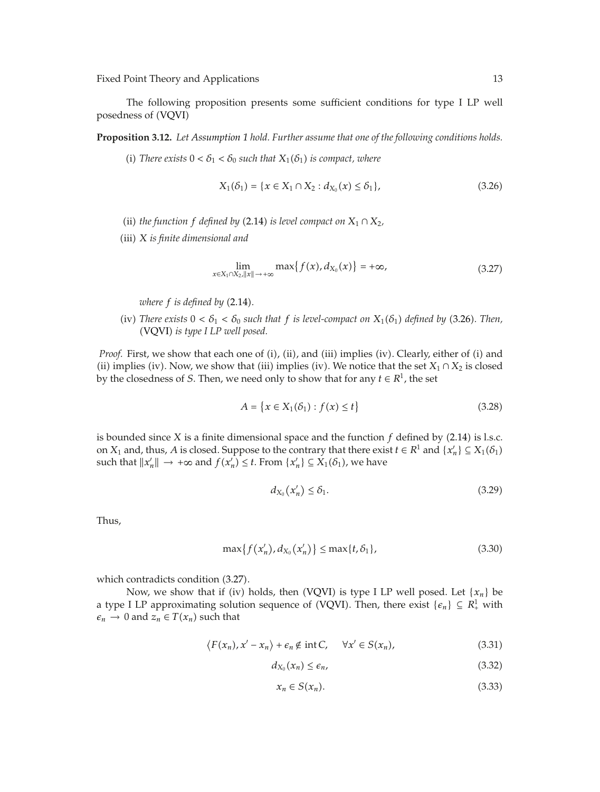The following proposition presents some sufficient conditions for type I LP well posedness of VQVI

**Proposition 3.12.** *Let Assumption 1 hold. Further assume that one of the following conditions holds.*

(i) *There exists*  $0 < \delta_1 < \delta_0$  *such that*  $X_1(\delta_1)$  *is compact, where* 

$$
X_1(\delta_1) = \{x \in X_1 \cap X_2 : d_{X_0}(x) \le \delta_1\},\tag{3.26}
$$

- (ii) *the function f defined by* (2.14) *is level compact on*  $X_1 \cap X_2$ ,
- iii *X is finite dimensional and*

$$
\lim_{x \in X_1 \cap X_2, \|x\| \to +\infty} \max\{f(x), d_{X_0}(x)\} = +\infty,\tag{3.27}
$$

*where*  $f$  *is defined by* (2.14).

(iv) *There exists*  $0 < \delta_1 < \delta_0$  *such that*  $f$  *is level-compact on*  $X_1(\delta_1)$  *defined by* (3.26)*. Then,* (VQVI) *is type I LP well posed.* 

*Proof.* First, we show that each one of (i), (ii), and (iii) implies (iv). Clearly, either of (i) and (ii) implies (iv). Now, we show that (iii) implies (iv). We notice that the set  $X_1 \cap X_2$  is closed by the closedness of *S*. Then, we need only to show that for any  $t \in R^1$ , the set

$$
A = \{x \in X_1(\delta_1) : f(x) \le t\}
$$
\n(3.28)

is bounded since *X* is a finite dimensional space and the function  $f$  defined by (2.14) is l.s.c. on *X*<sub>1</sub> and, thus, *A* is closed. Suppose to the contrary that there exist  $t \in R^1$  and  $\{x'_n\} \subseteq X_1(\delta_1)$ such that  $||x'_n|| \to +\infty$  and  $f(x'_n) \leq t$ . From  $\{x'_n\} \subseteq X_1(\delta_1)$ , we have

$$
d_{X_0}(x'_n) \le \delta_1. \tag{3.29}
$$

Thus,

$$
\max\{f(x'_n), d_{X_0}(x'_n)\} \le \max\{t, \delta_1\},\tag{3.30}
$$

which contradicts condition  $(3.27)$ .

Now, we show that if (iv) holds, then (VQVI) is type I LP well posed. Let  $\{x_n\}$  be a type I LP approximating solution sequence of (VQVI). Then, there exist  $\{e_n\} \subseteq R^1$  with  $\varepsilon_n \to 0$  and  $z_n \in T(x_n)$  such that

$$
\langle F(x_n), x' - x_n \rangle + \epsilon_n \notin \text{int } C, \quad \forall x' \in S(x_n), \tag{3.31}
$$

$$
d_{X_0}(x_n) \le \epsilon_n,\tag{3.32}
$$

$$
x_n \in S(x_n). \tag{3.33}
$$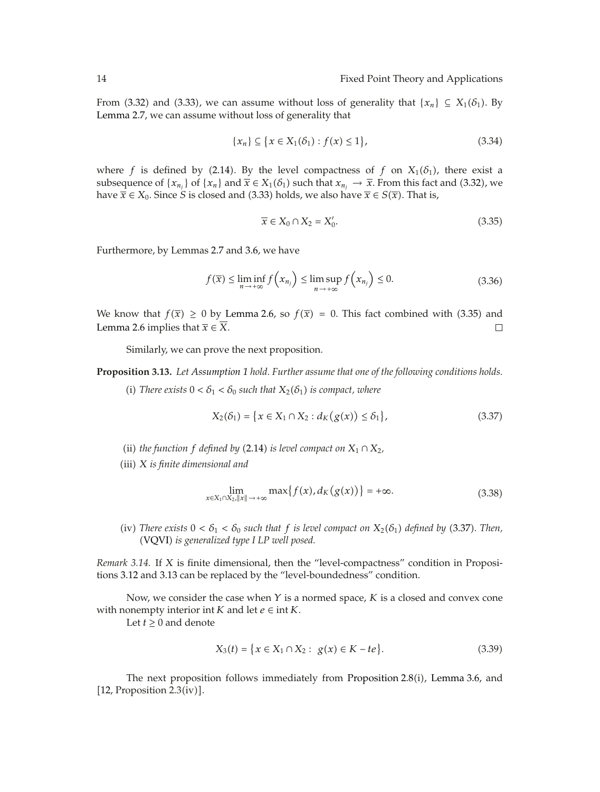From (3.32) and (3.33), we can assume without loss of generality that  ${x_n} \subseteq X_1(\delta_1)$ . By Lemma 2.7, we can assume without loss of generality that

$$
\{x_n\} \subseteq \{x \in X_1(\delta_1) : f(x) \le 1\},\tag{3.34}
$$

where *f* is defined by (2.14). By the level compactness of *f* on  $X_1(\delta_1)$ , there exist a subsequence of  $\{x_{n_j}\}$  of  $\{x_n\}$  and  $\overline{x} \in X_1(\delta_1)$  such that  $x_{n_j} \to \overline{x}$ . From this fact and (3.32), we have  $\overline{x}$  ∈ *X*<sub>0</sub>. Since *S* is closed and (3.33) holds, we also have  $\overline{x}$  ∈ *S*( $\overline{x}$ ). That is,

$$
\overline{x} \in X_0 \cap X_2 = X'_0. \tag{3.35}
$$

Furthermore, by Lemmas 2.7 and 3.6, we have

$$
f(\overline{x}) \le \liminf_{n \to +\infty} f\left(x_{n_j}\right) \le \limsup_{n \to +\infty} f\left(x_{n_j}\right) \le 0. \tag{3.36}
$$

We know that  $f(\bar{x}) \ge 0$  by Lemma 2.6, so  $f(\bar{x}) = 0$ . This fact combined with (3.35) and Lemma 2.6 implies that  $\overline{x} \in X$ .  $\Box$ 

Similarly, we can prove the next proposition.

**Proposition 3.13.** *Let Assumption 1 hold. Further assume that one of the following conditions holds.*

(i) *There exists*  $0 < \delta_1 < \delta_0$  *such that*  $X_2(\delta_1)$  *is compact, where* 

$$
X_2(\delta_1) = \{x \in X_1 \cap X_2 : d_K(g(x)) \le \delta_1\},\tag{3.37}
$$

- (ii) *the function f defined by* (2.14) *is level compact on*  $X_1 \cap X_2$ ,
- iii *X is finite dimensional and*

$$
\lim_{x \in X_1 \cap X_2, \|x\| \to +\infty} \max\{f(x), d_K(g(x))\} = +\infty. \tag{3.38}
$$

(iv) There exists  $0 < \delta_1 < \delta_0$  such that f is level compact on  $X_2(\delta_1)$  defined by (3.37). Then, (VQVI) is generalized type I LP well posed.

*Remark 3.14.* If *X* is finite dimensional, then the "level-compactness" condition in Propositions 3.12 and 3.13 can be replaced by the "level-boundedness" condition.

Now, we consider the case when *Y* is a normed space, *K* is a closed and convex cone with nonempty interior int  $K$  and let  $e \in \text{int } K$ .

Let  $t \geq 0$  and denote

$$
X_3(t) = \{x \in X_1 \cap X_2 : g(x) \in K - te\}.
$$
\n(3.39)

The next proposition follows immediately from Proposition  $2.8(i)$ , Lemma 3.6, and  $[12,$  Proposition 2.3(iv)].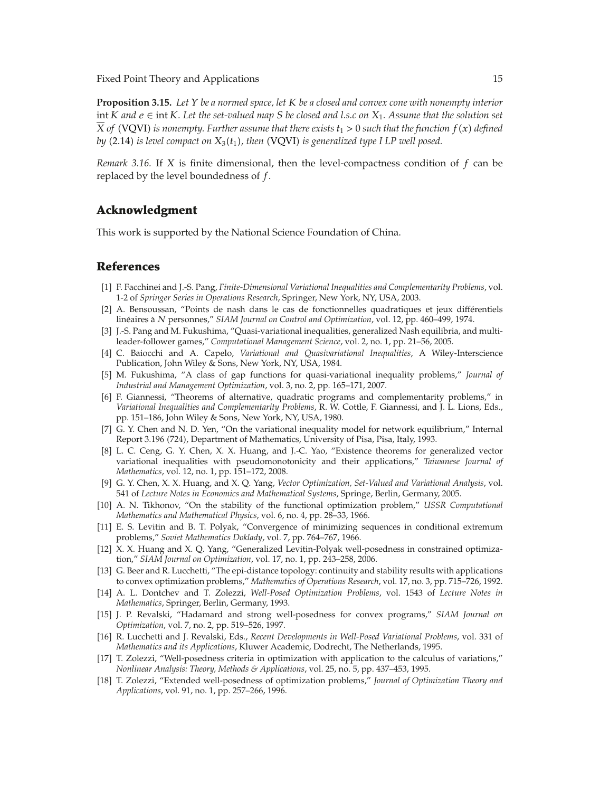**Proposition 3.15.** *Let Y be a normed space, let K be a closed and convex cone with nonempty interior* int *K and e* ∈ int *K. Let the set-valued map S be closed and l.s.c on X*1*. Assume that the solution set X of* (VQVI) *is nonempty. Further assume that there exists*  $t_1 > 0$  *such that the function*  $f(x)$  *defined by* (2.14) *is level compact on*  $X_3(t_1)$ *, then* (VQVI) *is generalized type I LP well posed.* 

*Remark 3.16.* If *X* is finite dimensional, then the level-compactness condition of *f* can be replaced by the level boundedness of *f*.

#### **Acknowledgment**

This work is supported by the National Science Foundation of China.

#### **References**

- 1 F. Facchinei and J.-S. Pang, *Finite-Dimensional Variational Inequalities and Complementarity Problems*, vol. 1-2 of *Springer Series in Operations Research*, Springer, New York, NY, USA, 2003.
- 2 A. Bensoussan, "Points de nash dans le cas de fonctionnelles quadratiques et jeux differentiels ´ linéaires à *N* personnes," SIAM Journal on Control and Optimization, vol. 12, pp. 460–499, 1974.
- [3] J.-S. Pang and M. Fukushima, "Quasi-variational inequalities, generalized Nash equilibria, and multileader-follower games," *Computational Management Science*, vol. 2, no. 1, pp. 21–56, 2005.
- 4 C. Baiocchi and A. Capelo, *Variational and Quasivariational Inequalities*, A Wiley-Interscience Publication, John Wiley & Sons, New York, NY, USA, 1984.
- 5 M. Fukushima, "A class of gap functions for quasi-variational inequality problems," *Journal of Industrial and Management Optimization*, vol. 3, no. 2, pp. 165–171, 2007.
- 6 F. Giannessi, "Theorems of alternative, quadratic programs and complementarity problems," in *Variational Inequalities and Complementarity Problems*, R. W. Cottle, F. Giannessi, and J. L. Lions, Eds., pp. 151–186, John Wiley & Sons, New York, NY, USA, 1980.
- [7] G. Y. Chen and N. D. Yen, "On the variational inequality model for network equilibrium," Internal Report 3.196 724, Department of Mathematics, University of Pisa, Pisa, Italy, 1993.
- [8] L. C. Ceng, G. Y. Chen, X. X. Huang, and J.-C. Yao, "Existence theorems for generalized vector variational inequalities with pseudomonotonicity and their applications," *Taiwanese Journal of Mathematics*, vol. 12, no. 1, pp. 151–172, 2008.
- 9 G. Y. Chen, X. X. Huang, and X. Q. Yang, *Vector Optimization, Set-Valued and Variational Analysis*, vol. 541 of *Lecture Notes in Economics and Mathematical Systems*, Springe, Berlin, Germany, 2005.
- 10 A. N. Tikhonov, "On the stability of the functional optimization problem," *USSR Computational Mathematics and Mathematical Physics*, vol. 6, no. 4, pp. 28–33, 1966.
- 11 E. S. Levitin and B. T. Polyak, "Convergence of minimizing sequences in conditional extremum problems," *Soviet Mathematics Doklady*, vol. 7, pp. 764–767, 1966.
- 12 X. X. Huang and X. Q. Yang, "Generalized Levitin-Polyak well-posedness in constrained optimization," *SIAM Journal on Optimization*, vol. 17, no. 1, pp. 243–258, 2006.
- [13] G. Beer and R. Lucchetti, "The epi-distance topology: continuity and stability results with applications to convex optimization problems," *Mathematics of Operations Research*, vol. 17, no. 3, pp. 715–726, 1992.
- 14 A. L. Dontchev and T. Zolezzi, *Well-Posed Optimization Problems*, vol. 1543 of *Lecture Notes in Mathematics*, Springer, Berlin, Germany, 1993.
- 15 J. P. Revalski, "Hadamard and strong well-posedness for convex programs," *SIAM Journal on Optimization*, vol. 7, no. 2, pp. 519–526, 1997.
- 16 R. Lucchetti and J. Revalski, Eds., *Recent Developments in Well-Posed Variational Problems*, vol. 331 of *Mathematics and its Applications*, Kluwer Academic, Dodrecht, The Netherlands, 1995.
- 17 T. Zolezzi, "Well-posedness criteria in optimization with application to the calculus of variations," *Nonlinear Analysis: Theory, Methods & Applications*, vol. 25, no. 5, pp. 437–453, 1995.
- 18 T. Zolezzi, "Extended well-posedness of optimization problems," *Journal of Optimization Theory and Applications*, vol. 91, no. 1, pp. 257–266, 1996.